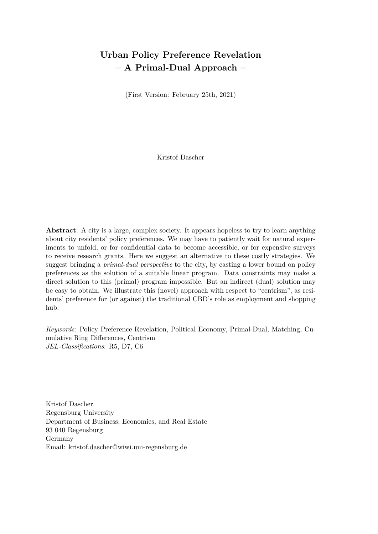# **Urban Policy Preference Revelation – A Primal-Dual Approach –**

(First Version: February 25th, 2021)

Kristof Dascher

**Abstract**: A city is a large, complex society. It appears hopeless to try to learn anything about city residents' policy preferences. We may have to patiently wait for natural experiments to unfold, or for confidential data to become accessible, or for expensive surveys to receive research grants. Here we suggest an alternative to these costly strategies. We suggest bringing a *primal-dual perspective* to the city, by casting a lower bound on policy preferences as the solution of a suitable linear program. Data constraints may make a direct solution to this (primal) program impossible. But an indirect (dual) solution may be easy to obtain. We illustrate this (novel) approach with respect to "centrism", as residents' preference for (or against) the traditional CBD's role as employment and shopping hub.

*Keywords*: Policy Preference Revelation, Political Economy, Primal-Dual, Matching, Cumulative Ring Differences, Centrism *JEL-Classifications*: R5, D7, C6

Kristof Dascher Regensburg University Department of Business, Economics, and Real Estate 93 040 Regensburg Germany Email: kristof.dascher@wiwi.uni-regensburg.de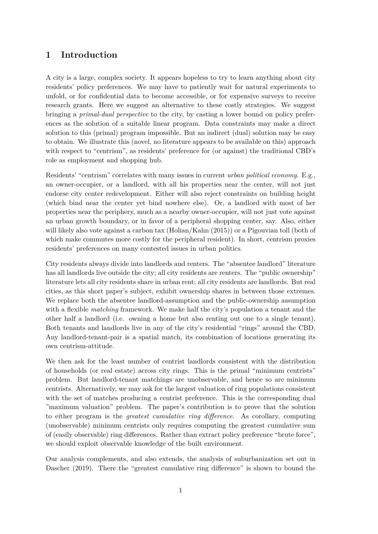## **1 Introduction**

A city is a large, complex society. It appears hopeless to try to learn anything about city residents' policy preferences. We may have to patiently wait for natural experiments to unfold, or for confidential data to become accessible, or for expensive surveys to receive research grants. Here we suggest an alternative to these costly strategies. We suggest bringing a *primal-dual perspective* to the city, by casting a lower bound on policy preferences as the solution of a suitable linear program. Data constraints may make a direct solution to this (primal) program impossible. But an indirect (dual) solution may be easy to obtain. We illustrate this (novel, no literature appears to be available on this) approach with respect to "centrism", as residents' preference for (or against) the traditional CBD's role as employment and shopping hub.

Residents' "centrism" correlates with many issues in current *urban political economy*. E.g., an owner-occupier, or a landlord, with all his properties near the center, will not just endorse city center redevelopment. Either will also reject constraints on building height (which bind near the center yet bind nowhere else). Or, a landlord with most of her properties near the periphery, much as a nearby owner-occupier, will not just vote against an urban growth boundary, or in favor of a peripheral shopping center, say. Also, either will likely also vote against a carbon tax (Holian/Kahn (2015)) or a Pigouvian toll (both of which make commutes more costly for the peripheral resident). In short, centrism proxies residents' preferences on many contested issues in urban politics.

City residents always divide into landlords and renters. The "absentee landlord" literature has all landlords live outside the city; all city residents are renters. The "public ownership" literature lets all city residents share in urban rent; all city residents are landlords. But real cities, as this short paper's subject, exhibit ownership shares in between those extremes. We replace both the absentee landlord-assumption and the public-ownership assumption with a flexible *matching* framework. We make half the city's population a tenant and the other half a landlord (i.e. owning a home but also renting out one to a single tenant). Both tenants and landlords live in any of the city's residential "rings" around the CBD. Any landlord-tenant-pair is a spatial match, its combination of locations generating its own centrism-attitude.

We then ask for the least number of centrist landlords consistent with the distribution of households (or real estate) across city rings. This is the primal "minimum centrists" problem. But landlord-tenant matchings are unobservable, and hence so are minimum centrists. Alternatively, we may ask for the largest valuation of ring populations consistent with the set of matches producing a centrist preference. This is the corresponding dual "maximum valuation" problem. The paper's contribution is to prove that the solution to either program is the *greatest cumulative ring difference*. As corollary, computing (unobservable) minimum centrists only requires computing the greatest cumulative sum of (easily observable) ring differences. Rather than extract policy preference "brute force", we should exploit observable knowledge of the built environment.

Our analysis complements, and also extends, the analysis of suburbanization set out in Dascher (2019). There the "greatest cumulative ring difference" is shown to bound the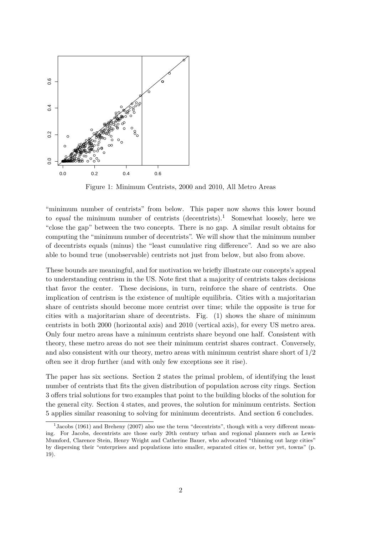

Figure 1: Minimum Centrists, 2000 and 2010, All Metro Areas

"minimum number of centrists" from below. This paper now shows this lower bound to *equal* the minimum number of centrists (decentrists).<sup>1</sup> Somewhat loosely, here we "close the gap" between the two concepts. There is no gap. A similar result obtains for computing the "minimum number of decentrists". We will show that the minimum number of decentrists equals (minus) the "least cumulative ring difference". And so we are also able to bound true (unobservable) centrists not just from below, but also from above.

These bounds are meaningful, and for motivation we briefly illustrate our concepts's appeal to understanding centrism in the US. Note first that a majority of centrists takes decisions that favor the center. These decisions, in turn, reinforce the share of centrists. One implication of centrism is the existence of multiple equilibria. Cities with a majoritarian share of centrists should become more centrist over time; while the opposite is true for cities with a majoritarian share of decentrists. Fig. (1) shows the share of minimum centrists in both 2000 (horizontal axis) and 2010 (vertical axis), for every US metro area. Only four metro areas have a minimum centrists share beyond one half. Consistent with theory, these metro areas do not see their minimum centrist shares contract. Conversely, and also consistent with our theory, metro areas with minimum centrist share short of  $1/2$ often see it drop further (and with only few exceptions see it rise).

The paper has six sections. Section 2 states the primal problem, of identifying the least number of centrists that fits the given distribution of population across city rings. Section 3 offers trial solutions for two examples that point to the building blocks of the solution for the general city. Section 4 states, and proves, the solution for minimum centrists. Section 5 applies similar reasoning to solving for minimum decentrists. And section 6 concludes.

<sup>&</sup>lt;sup>1</sup> Jacobs (1961) and Breheny (2007) also use the term "decentrists", though with a very different meaning. For Jacobs, decentrists are those early 20th century urban and regional planners such as Lewis Mumford, Clarence Stein, Henry Wright and Catherine Bauer, who advocated "thinning out large cities" by dispersing their "enterprises and populations into smaller, separated cities or, better yet, towns" (p. 19).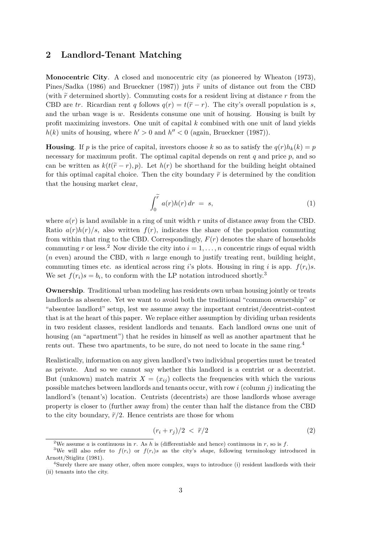### **2 Landlord-Tenant Matching**

**Monocentric City**. A closed and monocentric city (as pioneered by Wheaton (1973), Pines/Sadka (1986) and Brueckner (1987)) juts  $\tilde{r}$  units of distance out from the CBD (with  $\tilde{r}$  determined shortly). Commuting costs for a resident living at distance  $r$  from the CBD are *tr*. Ricardian rent *q* follows  $q(r) = t(\tilde{r} - r)$ . The city's overall population is *s*, and the urban wage is *w*. Residents consume one unit of housing. Housing is built by profit maximizing investors. One unit of capital *k* combined with one unit of land yields  $h(k)$  units of housing, where  $h' > 0$  and  $h'' < 0$  (again, Brueckner (1987)).

**Housing**. If *p* is the price of capital, investors choose *k* so as to satisfy the  $q(r)h_k(k) = p$ necessary for maximum profit. The optimal capital depends on rent  $q$  and price  $p$ , and so can be written as  $k(t(\tilde{r}-r), p)$ . Let  $h(r)$  be shorthand for the building height obtained for this optimal capital choice. Then the city boundary  $\tilde{r}$  is determined by the condition that the housing market clear,

$$
\int_0^{\widetilde{r}} a(r)h(r) dr = s,
$$
\n(1)

where  $a(r)$  is land available in a ring of unit width  $r$  units of distance away from the CBD. Ratio  $a(r)h(r)/s$ , also written  $f(r)$ , indicates the share of the population commuting from within that ring to the CBD. Correspondingly,  $F(r)$  denotes the share of households commuting *r* or less.<sup>2</sup> Now divide the city into  $i = 1, \ldots, n$  concentric rings of equal width (*n* even) around the CBD, with *n* large enough to justify treating rent, building height, commuting times etc. as identical across ring *i*'s plots. Housing in ring *i* is app.  $f(r_i)s$ . We set  $f(r_i) s = b_i$ , to conform with the LP notation introduced shortly.<sup>3</sup>

**Ownership**. Traditional urban modeling has residents own urban housing jointly or treats landlords as absentee. Yet we want to avoid both the traditional "common ownership" or "absentee landlord" setup, lest we assume away the important centrist/decentrist-contest that is at the heart of this paper. We replace either assumption by dividing urban residents in two resident classes, resident landlords and tenants. Each landlord owns one unit of housing (an "apartment") that he resides in himself as well as another apartment that he rents out. These two apartments, to be sure, do not need to locate in the same ring.<sup>4</sup>

Realistically, information on any given landlord's two individual properties must be treated as private. And so we cannot say whether this landlord is a centrist or a decentrist. But (unknown) match matrix  $X = (x_{ij})$  collects the frequencies with which the various possible matches between landlords and tenants occur, with row *i* (column *j*) indicating the landlord's (tenant's) location. Centrists (decentrists) are those landlords whose average property is closer to (further away from) the center than half the distance from the CBD to the city boundary,  $\tilde{r}/2$ . Hence centrists are those for whom

$$
(r_i + r_j)/2 \, < \, \tilde{r}/2 \tag{2}
$$

<sup>&</sup>lt;sup>2</sup>We assume *a* is continuous in *r*. As *h* is (differentiable and hence) continuous in *r*, so is *f*.

<sup>&</sup>lt;sup>3</sup>We will also refer to  $f(r_i)$  or  $f(r_i)$ s as the city's *shape*, following terminology introduced in Arnott/Stiglitz (1981).

<sup>&</sup>lt;sup>4</sup>Surely there are many other, often more complex, ways to introduce (i) resident landlords with their (ii) tenants into the city.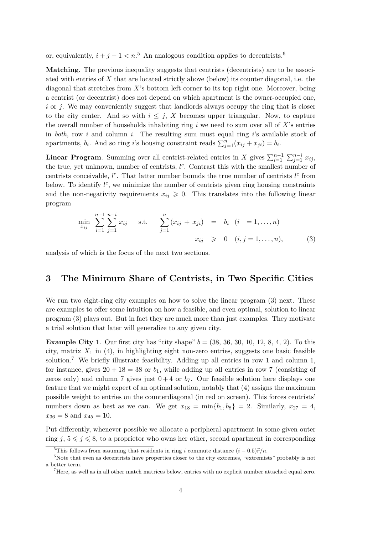or, equivalently,  $i + j - 1 < n$ <sup>5</sup> An analogous condition applies to decentrists.<sup>6</sup>

**Matching**. The previous inequality suggests that centrists (decentrists) are to be associated with entries of *X* that are located strictly above (below) its counter diagonal, i.e. the diagonal that stretches from *X*'s bottom left corner to its top right one. Moreover, being a centrist (or decentrist) does not depend on which apartment is the owner-occupied one, *i* or *j*. We may conveniently suggest that landlords always occupy the ring that is closer to the city center. And so with  $i \leq j$ , X becomes upper triangular. Now, to capture the overall number of households inhabiting ring *i* we need to sum over all of *X*'s entries in *both*, row *i* and column *i*. The resulting sum must equal ring *i*'s available stock of apartments,  $b_i$ . And so ring *i*'s housing constraint reads  $\sum_{j=1}^n (x_{ij} + x_{ji}) = b_i$ .

**Linear Program**. Summing over all centrist-related entries in *X* gives  $\sum_{i=1}^{n-1} \sum_{j=1}^{n-i} x_{ij}$ , the true, yet unknown, number of centrists, *l<sup>c</sup>*. Contrast this with the smallest number of centrists conceivable,  $\underline{l}^c$ . That latter number bounds the true number of centrists  $l^c$  from below. To identify  $\underline{l}^c$ , we minimize the number of centrists given ring housing constraints and the non-negativity requirements  $x_{ij} \geq 0$ . This translates into the following linear program

$$
\min_{x_{ij}} \sum_{i=1}^{n-1} \sum_{j=1}^{n-i} x_{ij} \quad \text{s.t.} \quad \sum_{j=1}^{n} (x_{ij} + x_{ji}) = b_i \quad (i = 1, ..., n)
$$
\n
$$
x_{ij} \geq 0 \quad (i, j = 1, ..., n), \tag{3}
$$

analysis of which is the focus of the next two sections.

### **3 The Minimum Share of Centrists, in Two Specific Cities**

We run two eight-ring city examples on how to solve the linear program  $(3)$  next. These are examples to offer some intuition on how a feasible, and even optimal, solution to linear program (3) plays out. But in fact they are much more than just examples. They motivate a trial solution that later will generalize to any given city.

**Example City 1**. Our first city has "city shape"  $b = (38, 36, 30, 10, 12, 8, 4, 2)$ . To this city, matrix  $X_1$  in (4), in highlighting eight non-zero entries, suggests one basic feasible solution.<sup>7</sup> We briefly illustrate feasibility. Adding up all entries in row 1 and column 1, for instance, gives  $20 + 18 = 38$  or  $b_1$ , while adding up all entries in row 7 (consisting of zeros only) and column 7 gives just  $0+4$  or  $b<sub>7</sub>$ . Our feasible solution here displays one feature that we might expect of an optimal solution, notably that (4) assigns the maximum possible weight to entries on the counterdiagonal (in red on screen). This forces centrists' numbers down as best as we can. We get  $x_{18} = \min\{b_1, b_8\} = 2$ . Similarly,  $x_{27} = 4$ ,  $x_{36} = 8$  and  $x_{45} = 10$ .

Put differently, whenever possible we allocate a peripheral apartment in some given outer ring  $j, 5 \leq j \leq 8$ , to a proprietor who owns her other, second apartment in corresponding

<sup>&</sup>lt;sup>5</sup>This follows from assuming that residents in ring *i* commute distance  $(i - 0.5)\tilde{r}/n$ .

 $6N$ ote that even as decentrists have properties closer to the city extremes, "extremists" probably is not a better term.

<sup>7</sup>Here, as well as in all other match matrices below, entries with no explicit number attached equal zero.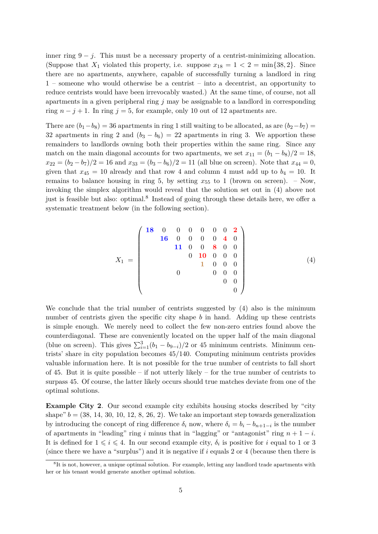inner ring  $9 - j$ . This must be a necessary property of a centrist-minimizing allocation. (Suppose that  $X_1$  violated this property, i.e. suppose  $x_{18} = 1 < 2 = \min\{38, 2\}$ . Since there are no apartments, anywhere, capable of successfully turning a landlord in ring 1 – someone who would otherwise be a centrist – into a decentrist, an opportunity to reduce centrists would have been irrevocably wasted.) At the same time, of course, not all apartments in a given peripheral ring *j* may be assignable to a landlord in corresponding ring  $n - j + 1$ . In ring  $j = 5$ , for example, only 10 out of 12 apartments are.

There are  $(b_1-b_8) = 36$  apartments in ring 1 still waiting to be allocated, as are  $(b_2-b_7) =$ 32 apartments in ring 2 and  $(b_3 - b_6) = 22$  apartments in ring 3. We apportion these remainders to landlords owning both their properties within the same ring. Since any match on the main diagonal accounts for two apartments, we set  $x_{11} = (b_1 - b_8)/2 = 18$ ,  $x_{22} = (b_2 - b_7)/2 = 16$  and  $x_{33} = (b_3 - b_6)/2 = 11$  (all blue on screen). Note that  $x_{44} = 0$ , given that  $x_{45} = 10$  already and that row 4 and column 4 must add up to  $b_4 = 10$ . It remains to balance housing in ring 5, by setting  $x_{55}$  to 1 (brown on screen). – Now, invoking the simplex algorithm would reveal that the solution set out in (4) above not just is feasible but also: optimal.<sup>8</sup> Instead of going through these details here, we offer a systematic treatment below (in the following section).

$$
X_1 = \begin{pmatrix} 18 & 0 & 0 & 0 & 0 & 0 & 0 & 2 \\ 16 & 0 & 0 & 0 & 0 & 4 & 0 \\ 11 & 0 & 0 & 8 & 0 & 0 \\ 0 & 10 & 0 & 0 & 0 & 0 \\ 0 & 0 & 0 & 0 & 0 & 0 \\ 0 & 0 & 0 & 0 & 0 & 0 \\ 0 & 0 & 0 & 0 & 0 & 0 \\ 0 & 0 & 0 & 0 & 0 & 0 \\ 0 & 0 & 0 & 0 & 0 & 0 \\ 0 & 0 & 0 & 0 & 0 & 0 \\ 0 & 0 & 0 & 0 & 0 & 0 \\ 0 & 0 & 0 & 0 & 0 & 0 \\ 0 & 0 & 0 & 0 & 0 & 0 \\ 0 & 0 & 0 & 0 & 0 & 0 \\ 0 & 0 & 0 & 0 & 0 & 0 \\ 0 & 0 & 0 & 0 & 0 & 0 \\ 0 & 0 & 0 & 0 & 0 & 0 \\ 0 & 0 & 0 & 0 & 0 & 0 \\ 0 & 0 & 0 & 0 & 0 & 0 \\ 0 & 0 & 0 & 0 & 0 & 0 \\ 0 & 0 & 0 & 0 & 0 & 0 \\ 0 & 0 & 0 & 0 & 0 & 0 \\ 0 & 0 & 0 & 0 & 0 & 0 \\ 0 & 0 & 0 & 0 & 0 & 0 \\ 0 & 0 & 0 & 0 & 0 & 0 & 0 \\ 0 & 0 & 0 & 0 & 0 & 0 & 0 \\ 0 & 0 & 0 & 0 & 0 & 0 & 0 \\ 0 & 0 & 0 & 0 & 0 & 0 & 0 \\ 0 & 0 & 0 & 0 & 0 & 0 & 0 \\ 0 & 0 & 0 & 0 & 0 & 0 & 0 \\ 0 & 0 & 0 & 0 & 0 & 0 & 0 \\ 0 & 0 & 0 & 0 & 0 & 0 & 0 \\ 0 & 0 & 0 & 0 & 0 & 0 & 0 \\ 0 & 0 & 0 & 0 & 0 & 0 & 0 \\ 0 & 0 & 0 & 0 & 0 & 0 & 0 \\ 0 & 0 & 0 & 0 & 0 & 0 & 0 \\ 0 & 0 & 0 & 0 & 0 & 0 & 0 \\ 0 & 0 & 0 & 0 & 0 & 0 & 0 \\ 0 & 0 & 0 &
$$

We conclude that the trial number of centrists suggested by (4) also is the minimum number of centrists given the specific city shape *b* in hand. Adding up these centrists is simple enough. We merely need to collect the few non-zero entries found above the counterdiagonal. These are conveniently located on the upper half of the main diagonal (blue on screen). This gives  $\sum_{i=1}^{3} (b_1 - b_{9-i})/2$  or 45 minimum centrists. Minimum centrists' share in city population becomes 45*/*140. Computing minimum centrists provides valuable information here. It is not possible for the true number of centrists to fall short of 45. But it is quite possible – if not utterly likely – for the true number of centrists to surpass 45. Of course, the latter likely occurs should true matches deviate from one of the optimal solutions.

**Example City 2**. Our second example city exhibits housing stocks described by "city shape"  $b = (38, 14, 30, 10, 12, 8, 26, 2)$ . We take an important step towards generalization by introducing the concept of ring difference  $\delta_i$  now, where  $\delta_i = b_i - b_{n+1-i}$  is the number of apartments in "leading" ring *i* minus that in "lagging" or "antagonist" ring  $n + 1 - i$ . It is defined for  $1 \leqslant i \leqslant 4$ . In our second example city,  $\delta_i$  is positive for *i* equal to 1 or 3 (since there we have a "surplus") and it is negative if *i* equals 2 or 4 (because then there is

<sup>&</sup>lt;sup>8</sup>It is not, however, a unique optimal solution. For example, letting any landlord trade apartments with her or his tenant would generate another optimal solution.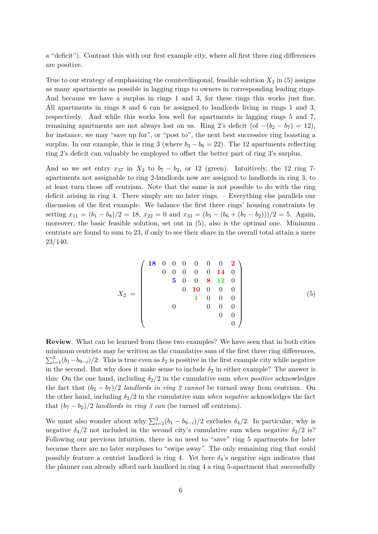a "deficit"). Contrast this with our first example city, where all first three ring differences are positive.

True to our strategy of emphasizing the counterdiagonal, feasible solution  $X_2$  in  $(5)$  assigns as many apartments as possible in lagging rings to owners in corresponding leading rings. And because we have a surplus in rings 1 and 3, for these rings this works just fine. All apartments in rings 8 and 6 can be assigned to landlords living in rings 1 and 3, respectively. And while this works less well for apartments in lagging rings 5 and 7, remaining apartments are not always lost on us. Ring 2's deficit (of  $-(b_2 - b_7) = 12$ ), for instance, we may "save up for", or "post to", the next best successive ring boasting a surplus. In our example, this is ring 3 (where  $b_3 - b_6 = 22$ ). The 12 apartments reflecting ring 2's deficit can valuably be employed to offset the better part of ring 3's surplus.

And so we set entry  $x_{37}$  in  $X_2$  to  $b_7 - b_2$ , or 12 (green). Intuitively, the 12 ring 7apartments not assignable to ring 2-landlords now are assigned to landlords in ring 3, to at least turn those off centrism. Note that the same is not possible to do with the ring deficit arising in ring 4. There simply are no later rings. – Everything else parallels our discussion of the first example. We balance the first three rings' housing constraints by setting  $x_{11} = (b_1 - b_8)/2 = 18$ ,  $x_{22} = 0$  and  $x_{33} = (b_3 - (b_6 + (b_7 - b_2)))/2 = 5$ . Again, moreover, the basic feasible solution, set out in (5), also is the optimal one. Minimum centrists are found to sum to 23, if only to see their share in the overall total attain a mere 23/140.

$$
X_2 = \begin{pmatrix}\n\mathbf{18} & 0 & 0 & 0 & 0 & 0 & \mathbf{0} & \mathbf{2} \\
0 & 0 & 0 & 0 & 0 & \mathbf{14} & 0 \\
& \mathbf{5} & 0 & 0 & \mathbf{8} & \mathbf{12} & 0 \\
& & 0 & \mathbf{10} & 0 & 0 & 0 \\
& & & 1 & 0 & 0 & 0 \\
& & & & 0 & 0 & 0 \\
& & & & & 0 & 0\n\end{pmatrix}
$$
\n(5)

**Review**. What can be learned from these two examples? We have seen that in both cities minimum centrists may be written as the cumulative sum of the first three ring differences,  $\sum_{i=1}^{3} (b_1 - b_2 - i)/2$ . This is true even as  $\delta_2$  is positive in the first example city while negative in the second. But why does it make sense to include  $\delta_2$  in either example? The answer is this: On the one hand, including  $\delta_2/2$  in the cumulative sum *when positive* acknowledges the fact that  $(b_2 - b_7)/2$  *landlords in ring 2 cannot* be turned away from centrism. On the other hand, including  $\delta_2/2$  in the cumulative sum *when negative* acknowledges the fact that  $(b_7 - b_2)/2$  *landlords in ring 3 can* (be turned off centrism).

We must also wonder about why  $\sum_{i=1}^{3} (b_1 - b_{9-i})/2$  excludes  $\delta_4/2$ . In particular, why is negative  $\delta_4/2$  not included in the second city's cumulative sum when negative  $\delta_2/2$  is? Following our previous intuition, there is no need to "save" ring 5 apartments for later because there are no later surpluses to "swipe away". The only remaining ring that could possibly feature a centrist landlord is ring 4. Yet here  $\delta_4$ 's negative sign indicates that the planner can already afford each landlord in ring 4 a ring 5-apartment that successfully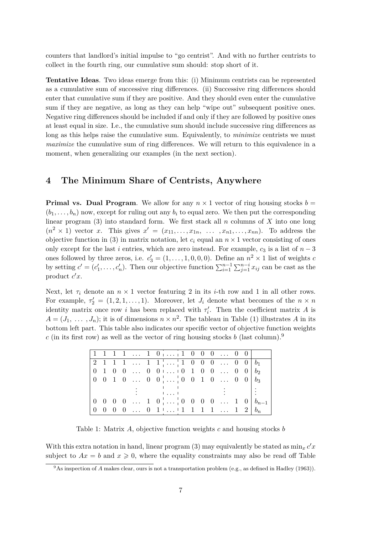counters that landlord's initial impulse to "go centrist". And with no further centrists to collect in the fourth ring, our cumulative sum should: stop short of it.

**Tentative Ideas**. Two ideas emerge from this: (i) Minimum centrists can be represented as a cumulative sum of successive ring differences. (ii) Successive ring differences should enter that cumulative sum if they are positive. And they should even enter the cumulative sum if they are negative, as long as they can help "wipe out" subsequent positive ones. Negative ring differences should be included if and only if they are followed by positive ones at least equal in size. I.e., the cumulative sum should include successive ring differences as long as this helps raise the cumulative sum. Equivalently, to *minimize* centrists we must *maximize* the cumulative sum of ring differences. We will return to this equivalence in a moment, when generalizing our examples (in the next section).

### **4 The Minimum Share of Centrists, Anywhere**

**Primal vs. Dual Program**. We allow for any  $n \times 1$  vector of ring housing stocks  $b =$  $(b_1, \ldots, b_n)$  now, except for ruling out any  $b_i$  to equal zero. We then put the corresponding linear program (3) into standard form. We first stack all *n* columns of *X* into one long  $(n^2 \times 1)$  vector *x*. This gives  $x' = (x_{11}, \ldots, x_{1n}, \ldots, x_{n1}, \ldots, x_{nn})$ . To address the objective function in (3) in matrix notation, let  $c_i$  equal an  $n \times 1$  vector consisting of ones only except for the last *i* entries, which are zero instead. For example,  $c_3$  is a list of  $n-3$ ones followed by three zeros, i.e.  $c'_3 = (1, \ldots, 1, 0, 0, 0)$ . Define an  $n^2 \times 1$  list of weights *c* by setting  $c' = (c'_1, \ldots, c'_n)$ . Then our objective function  $\sum_{i=1}^{n-1} \sum_{j=1}^{n-i} x_{ij}$  can be cast as the product  $c'x$ .

Next, let  $\tau_i$  denote an  $n \times 1$  vector featuring 2 in its *i*-th row and 1 in all other rows. For example,  $\tau_2' = (1, 2, 1, \ldots, 1)$ . Moreover, let  $J_i$  denote what becomes of the  $n \times n$ identity matrix once row *i* has been replaced with  $\tau'_i$ . Then the coefficient matrix *A* is  $A = (J_1, \ldots, J_n)$ ; it is of dimensions  $n \times n^2$ . The tableau in Table (1) illustrates *A* in its bottom left part. This table also indicates our specific vector of objective function weights *c* (in its first row) as well as the vector of ring housing stocks *b* (last column).<sup>9</sup>

|  |  |  | $\begin{bmatrix} 1 & 1 & 1 & 1 & \dots & 1 & 0 & \dots & 1 & 0 & 0 & 0 & \dots & 0 & 0 \end{bmatrix}$                                |  |  |  |  |
|--|--|--|--------------------------------------------------------------------------------------------------------------------------------------|--|--|--|--|
|  |  |  |                                                                                                                                      |  |  |  |  |
|  |  |  | $\begin{array}{ ccccccccccccccccccc }\hline 0 & 1 & 0 & 0 & \dots & 0 & 0 & \dots & 0 & 1 & 0 & 0 & \dots & 0 & 0 & b_2 \end{array}$ |  |  |  |  |
|  |  |  |                                                                                                                                      |  |  |  |  |
|  |  |  | 1.1.1                                                                                                                                |  |  |  |  |
|  |  |  | $0 \t 0 \t 0 \t 0 \t \ldots \t 1 \t 0 \t \ldots \t 0 \t 0 \t 0 \t 0 \t \ldots \t 1 \t 0 \t b_{n-1}$                                  |  |  |  |  |
|  |  |  |                                                                                                                                      |  |  |  |  |

Table 1: Matrix *A*, objective function weights *c* and housing stocks *b*

With this extra notation in hand, linear program (3) may equivalently be stated as  $\min_x c' x$ subject to  $Ax = b$  and  $x \ge 0$ , where the equality constraints may also be read off Table

<sup>9</sup>As inspection of *A* makes clear, ours is not a transportation problem (e.g., as defined in Hadley (1963)).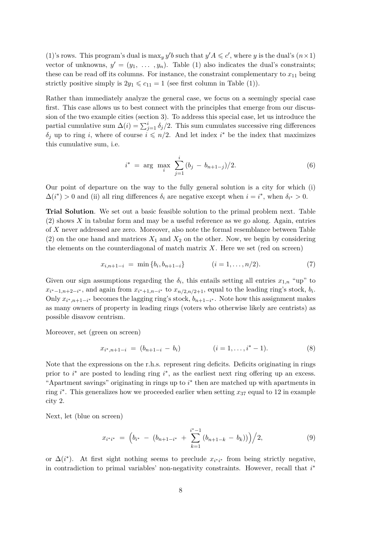(1)'s rows. This program's dual is  $\max_y y'b$  such that  $y'A \leqslant c'$ , where *y* is the dual's  $(n \times 1)$ vector of unknowns,  $y' = (y_1, \ldots, y_n)$ . Table (1) also indicates the dual's constraints; these can be read off its columns. For instance, the constraint complementary to  $x_{11}$  being strictly positive simply is  $2y_1 \leq c_{11} = 1$  (see first column in Table (1)).

Rather than immediately analyze the general case, we focus on a seemingly special case first. This case allows us to best connect with the principles that emerge from our discussion of the two example cities (section 3). To address this special case, let us introduce the partial cumulative sum  $\Delta(i) = \sum_{j=1}^{i} \delta_j/2$ . This sum cumulates successive ring differences  $\delta_j$  up to ring *i*, where of course  $i \leq n/2$ . And let index *i*<sup>\*</sup> be the index that maximizes this cumulative sum, i.e.

$$
i^* = \arg \max_{i} \sum_{j=1}^{i} (b_j - b_{n+1-j})/2.
$$
 (6)

Our point of departure on the way to the fully general solution is a city for which (i)  $\Delta(i^*) > 0$  and (ii) all ring differences  $\delta_i$  are negative except when  $i = i^*$ , when  $\delta_{i^*} > 0$ .

**Trial Solution**. We set out a basic feasible solution to the primal problem next. Table (2) shows *X* in tabular form and may be a useful reference as we go along. Again, entries of *X* never addressed are zero. Moreover, also note the formal resemblance between Table (2) on the one hand and matrices  $X_1$  and  $X_2$  on the other. Now, we begin by considering the elements on the counterdiagonal of match matrix *X*. Here we set (red on screen)

$$
x_{i,n+1-i} = \min\{b_i, b_{n+1-i}\} \qquad (i = 1, \dots, n/2). \tag{7}
$$

Given our sign assumptions regarding the  $\delta_i$ , this entails setting all entries  $x_{1,n}$  "up" to  $x_{i^*-1,n+2-i^*}$ , and again from  $x_{i^*+1,n-i^*}$  to  $x_{n/2,n/2+1}$ , equal to the leading ring's stock,  $b_i$ . Only  $x_{i^*, n+1-i^*}$  becomes the lagging ring's stock,  $b_{n+1-i^*}$ . Note how this assignment makes as many owners of property in leading rings (voters who otherwise likely are centrists) as possible disavow centrism.

Moreover, set (green on screen)

$$
x_{i^*, n+1-i} = (b_{n+1-i} - b_i) \qquad (i = 1, \dots, i^* - 1). \tag{8}
$$

Note that the expressions on the r.h.s. represent ring deficits. Deficits originating in rings prior to *i*<sup>\*</sup> are posted to leading ring *i*<sup>\*</sup>, as the earliest next ring offering up an excess. "Apartment savings" originating in rings up to *i* ∗ then are matched up with apartments in ring *i* ∗ . This generalizes how we proceeded earlier when setting *x*<sup>37</sup> equal to 12 in example city 2.

Next, let (blue on screen)

$$
x_{i^*i^*} = (b_{i^*} - (b_{n+1-i^*} + \sum_{k=1}^{i^*-1} (b_{n+1-k} - b_k)))/2,
$$
\n(9)

or  $\Delta(i^*)$ . At first sight nothing seems to preclude  $x_{i^*i^*}$  from being strictly negative, in contradiction to primal variables' non-negativity constraints. However, recall that *i* ∗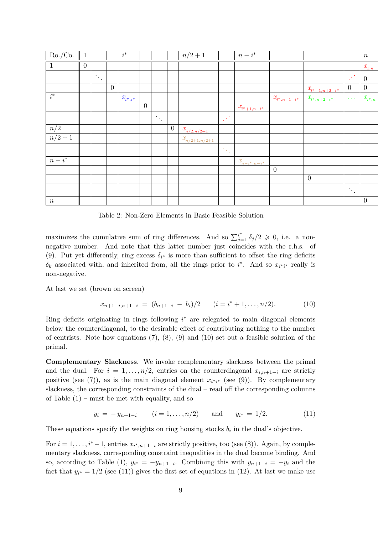| $Ro./Co.$ 1        |                |                                         |                | $\overline{i^*}$                 |                |                                         |                | $n/2 + 1$                             |                               | $\overline{n-i^*}$                   |                                      |                                            |                                         | $\,n$          |
|--------------------|----------------|-----------------------------------------|----------------|----------------------------------|----------------|-----------------------------------------|----------------|---------------------------------------|-------------------------------|--------------------------------------|--------------------------------------|--------------------------------------------|-----------------------------------------|----------------|
| $\mathbf{1}$       | $\overline{0}$ |                                         |                |                                  |                |                                         |                |                                       |                               |                                      |                                      |                                            |                                         | $x_{1,n}$      |
|                    |                | $\mathcal{F}_{\mathcal{A},\mathcal{C}}$ |                |                                  |                |                                         |                |                                       |                               |                                      |                                      |                                            | $\mathbb{R}^3$                          | $\overline{0}$ |
|                    |                |                                         | $\overline{0}$ |                                  |                |                                         |                |                                       |                               |                                      |                                      | $x_{\scriptscriptstyle i^{*}-1,n+2-i^{*}}$ | $\overline{0}$                          | $\overline{0}$ |
| $i^*$              |                |                                         |                | $x_{\scriptscriptstyle i^*,i^*}$ |                |                                         |                |                                       |                               |                                      | $x_{\scriptscriptstyle i^*,n+1-i^*}$ | $\underline{x_{i^*,n+2-i^*}}$              | $\sim 100$                              | $x_{i^*,n}$    |
|                    |                |                                         |                |                                  | $\overline{0}$ |                                         |                |                                       |                               | $x_{\scriptscriptstyle i^*+1,n-i^*}$ |                                      |                                            |                                         |                |
|                    |                |                                         |                |                                  |                | $\mathcal{O}_{\mathcal{A},\mathcal{C}}$ |                |                                       | e pro                         |                                      |                                      |                                            |                                         |                |
| $\overline{n/2}$   |                |                                         |                |                                  |                |                                         | $\overline{0}$ | $\frac{\mathcal{X}_{n/2,n/2+1}}{n}$   |                               |                                      |                                      |                                            |                                         |                |
| $n/2 + 1$          |                |                                         |                |                                  |                |                                         |                | $\frac{\mathcal{X}_{n/2+1,n/2+1}}{2}$ |                               |                                      |                                      |                                            |                                         |                |
|                    |                |                                         |                |                                  |                |                                         |                |                                       | $\mathcal{V}_{\mathcal{F}_2}$ |                                      |                                      |                                            |                                         |                |
| $\overline{n-i^*}$ |                |                                         |                |                                  |                |                                         |                |                                       |                               | $x_{\hspace{-1pt} n-i^*, n-i^*}$     |                                      |                                            |                                         |                |
|                    |                |                                         |                |                                  |                |                                         |                |                                       |                               |                                      | $\boldsymbol{0}$                     |                                            |                                         |                |
|                    |                |                                         |                |                                  |                |                                         |                |                                       |                               |                                      |                                      | $\overline{0}$                             |                                         |                |
|                    |                |                                         |                |                                  |                |                                         |                |                                       |                               |                                      |                                      |                                            | $\mathcal{O}_{\mathcal{A}_\mathcal{A}}$ |                |
| $\boldsymbol{n}$   |                |                                         |                |                                  |                |                                         |                |                                       |                               |                                      |                                      |                                            |                                         | $\overline{0}$ |
|                    |                |                                         |                |                                  |                |                                         |                |                                       |                               |                                      |                                      |                                            |                                         |                |

Table 2: Non-Zero Elements in Basic Feasible Solution

maximizes the cumulative sum of ring differences. And so  $\sum_{j=1}^{i^*} \delta_j/2 \geqslant 0$ , i.e. a nonnegative number. And note that this latter number just coincides with the r.h.s. of (9). Put yet differently, ring excess  $\delta_{i^*}$  is more than sufficient to offset the ring deficits  $\delta_k$  associated with, and inherited from, all the rings prior to *i*<sup>\*</sup>. And so  $x_{i^*i^*}$  really is non-negative.

At last we set (brown on screen)

$$
x_{n+1-i,n+1-i} = (b_{n+1-i} - b_i)/2 \qquad (i = i^* + 1, \dots, n/2). \tag{10}
$$

Ring deficits originating in rings following *i* <sup>∗</sup> are relegated to main diagonal elements below the counterdiagonal, to the desirable effect of contributing nothing to the number of centrists. Note how equations  $(7)$ ,  $(8)$ ,  $(9)$  and  $(10)$  set out a feasible solution of the primal.

**Complementary Slackness**. We invoke complementary slackness between the primal and the dual. For  $i = 1, \ldots, n/2$ , entries on the counterdiagonal  $x_{i,n+1-i}$  are strictly positive (see (7)), as is the main diagonal element  $x_{i^*i^*}$  (see (9)). By complementary slackness, the corresponding constraints of the dual – read off the corresponding columns of Table  $(1)$  – must be met with equality, and so

$$
y_i = -y_{n+1-i}
$$
  $(i = 1,...,n/2)$  and  $y_{i^*} = 1/2.$  (11)

These equations specify the weights on ring housing stocks  $b_i$  in the dual's objective.

For  $i = 1, \ldots, i^* - 1$ , entries  $x_{i^*, n+1-i}$  are strictly positive, too (see (8)). Again, by complementary slackness, corresponding constraint inequalities in the dual become binding. And so, according to Table (1),  $y_{i^*} = -y_{n+1-i}$ . Combining this with  $y_{n+1-i} = -y_i$  and the fact that  $y_{i^*} = 1/2$  (see (11)) gives the first set of equations in (12). At last we make use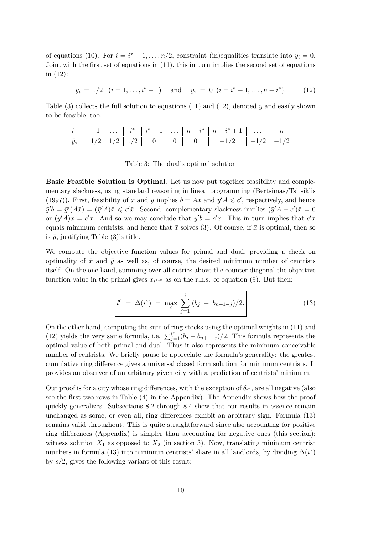of equations (10). For  $i = i^* + 1, \ldots, n/2$ , constraint (in)equalities translate into  $y_i = 0$ . Joint with the first set of equations in (11), this in turn implies the second set of equations in (12):

$$
y_i = 1/2
$$
  $(i = 1, ..., i^* - 1)$  and  $y_i = 0$   $(i = i^* + 1, ..., n - i^*).$  (12)

Table (3) collects the full solution to equations (11) and (12), denoted  $\bar{y}$  and easily shown to be feasible, too.

|             | $\cdots$ | $\cdot$ | $\begin{array}{c c c c c c} \hline \cdots & n-r & \cdots \end{array}$ | $\cdots$ |  |
|-------------|----------|---------|-----------------------------------------------------------------------|----------|--|
| $\bar{y}_i$ |          |         |                                                                       |          |  |

Table 3: The dual's optimal solution

**Basic Feasible Solution is Optimal**. Let us now put together feasibility and complementary slackness, using standard reasoning in linear programming (Bertsimas/Tsitsiklis (1997)). First, feasibility of  $\bar{x}$  and  $\bar{y}$  implies  $b = A\bar{x}$  and  $\bar{y}$ <sup> $\prime$ </sup> $A \leq c'$ , respectively, and hence  $\bar{y}'b = \bar{y}'(A\bar{x}) = (\bar{y}'A)\bar{x} \leqslant c'\bar{x}$ . Second, complementary slackness implies  $(\bar{y}'A - c')\bar{x} = 0$ or  $(\bar{y}'A)\bar{x} = c'\bar{x}$ . And so we may conclude that  $\bar{y}'b = c'\bar{x}$ . This in turn implies that  $c'\bar{x}$ equals minimum centrists, and hence that  $\bar{x}$  solves (3). Of course, if  $\bar{x}$  is optimal, then so is  $\bar{y}$ , justifying Table (3)'s title.

We compute the objective function values for primal and dual, providing a check on optimality of  $\bar{x}$  and  $\bar{y}$  as well as, of course, the desired minimum number of centrists itself. On the one hand, summing over all entries above the counter diagonal the objective function value in the primal gives  $x_{i^*i^*}$  as on the r.h.s. of equation (9). But then:

$$
\underline{l}^{c} = \Delta(i^{*}) = \max_{i} \sum_{j=1}^{i} (b_{j} - b_{n+1-j})/2.
$$
 (13)

On the other hand, computing the sum of ring stocks using the optimal weights in (11) and (12) yields the very same formula, i.e.  $\sum_{j=1}^{i^*} (b_j - b_{n+1-j})/2$ . This formula represents the optimal value of both primal and dual. Thus it also represents the minimum conceivable number of centrists. We briefly pause to appreciate the formula's generality: the greatest cumulative ring difference gives a universal closed form solution for minimum centrists. It provides an observer of an arbitrary given city with a prediction of centrists' minimum.

Our proof is for a city whose ring differences, with the exception of  $\delta_{i^*}$ , are all negative (also see the first two rows in Table (4) in the Appendix). The Appendix shows how the proof quickly generalizes. Subsections 8.2 through 8.4 show that our results in essence remain unchanged as some, or even all, ring differences exhibit an arbitrary sign. Formula (13) remains valid throughout. This is quite straightforward since also accounting for positive ring differences (Appendix) is simpler than accounting for negative ones (this section): witness solution  $X_1$  as opposed to  $X_2$  (in section 3). Now, translating minimum centrist numbers in formula (13) into minimum centrists' share in all landlords, by dividing  $\Delta(i^*)$ by *s/*2, gives the following variant of this result: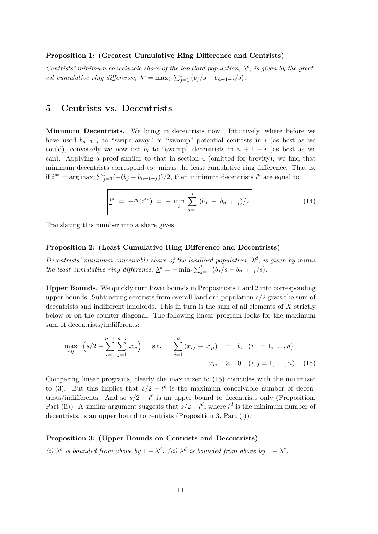#### **Proposition 1: (Greatest Cumulative Ring Difference and Centrists)**

*Centrists' minimum conceivable share of the landlord population,*  $\lambda^c$ *, is given by the greatest cumulative ring difference,*  $\lambda^c = \max_i \sum_{j=1}^i (b_j/s - b_{n+1-j}/s)$ .

### **5 Centrists vs. Decentrists**

**Minimum Decentrists**. We bring in decentrists now. Intuitively, where before we have used  $b_{n+1-i}$  to "swipe away" or "swamp" potential centrists in *i* (as best as we could), conversely we now use  $b_i$  to "swamp" decentrists in  $n + 1 - i$  (as best as we can). Applying a proof similar to that in section 4 (omitted for brevity), we find that minimum decentrists correspond to: minus the least cumulative ring difference. That is, if  $i^{**} = \arg \max_i \sum_{j=1}^i (-(b_j - b_{n+1-j}))/2$ , then minimum decentrists  $\underline{l}^d$  are equal to

$$
\underline{l}^d = -\Delta(i^{**}) = -\min_i \sum_{j=1}^i (b_j - b_{n+1-j})/2.
$$
 (14)

Translating this number into a share gives

#### **Proposition 2: (Least Cumulative Ring Difference and Decentrists)**

*Decentrists'* minimum conceivable share of the landlord population,  $\lambda^d$ , is given by minus *the least cumulative ring difference,*  $\Delta^d = -\min_i \sum_{j=1}^i (b_j/s - b_{n+1-j}/s)$ .

**Upper Bounds**. We quickly turn lower bounds in Propositions 1 and 2 into corresponding upper bounds. Subtracting centrists from overall landlord population *s/*2 gives the sum of decentrists and indifferent landlords. This in turn is the sum of all elements of *X* strictly below or on the counter diagonal. The following linear program looks for the maximum sum of decentrists/indifferents:

$$
\max_{x_{ij}} \left( s/2 - \sum_{i=1}^{n-1} \sum_{j=1}^{n-i} x_{ij} \right) \quad \text{s.t.} \quad \sum_{j=1}^{n} (x_{ij} + x_{ji}) = b_i \quad (i = 1, ..., n)
$$
\n
$$
x_{ij} \geq 0 \quad (i, j = 1, ..., n). \quad (15)
$$

Comparing linear programs, clearly the maximizer to (15) coincides with the minimizer to (3). But this implies that  $s/2 - \underline{l}^c$  is the maximum conceivable number of decentrists/indifferents. And so  $s/2 - \underline{l}^c$  is an upper bound to decentrists only (Proposition, Part (ii)). A similar argument suggests that  $s/2 - \underline{l}^d$ , where  $\underline{l}^d$  is the minimum number of decentrists, is an upper bound to centrists (Proposition 3, Part (i)).

#### **Proposition 3: (Upper Bounds on Centrists and Decentrists)**

*(i)*  $\lambda^c$  *is bounded from above by*  $1 - \lambda^d$ *. (ii)*  $\lambda^d$  *is bounded from above by*  $1 - \lambda^c$ *.*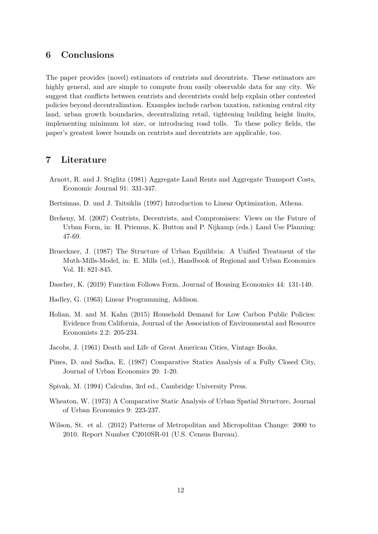### **6 Conclusions**

The paper provides (novel) estimators of centrists and decentrists. These estimators are highly general, and are simple to compute from easily observable data for any city. We suggest that conflicts between centrists and decentrists could help explain other contested policies beyond decentralization. Examples include carbon taxation, rationing central city land, urban growth boundaries, decentralizing retail, tightening building height limits, implementing minimum lot size, or introducing road tolls. To these policy fields, the paper's greatest lower bounds on centrists and decentrists are applicable, too.

### **7 Literature**

- Arnott, R. and J. Stiglitz (1981) Aggregate Land Rents and Aggregate Transport Costs, Economic Journal 91: 331-347.
- Bertsimas, D. und J. Tsitsiklis (1997) Introduction to Linear Optimization, Athena.
- Breheny, M. (2007) Centrists, Decentrists, and Compromisers: Views on the Future of Urban Form, in: H. Priemus, K. Button and P. Nijkamp (eds.) Land Use Planning: 47-69.
- Brueckner, J. (1987) The Structure of Urban Equilibria: A Unified Treatment of the Muth-Mills-Model, in: E. Mills (ed.), Handbook of Regional and Urban Economics Vol. II: 821-845.
- Dascher, K. (2019) Function Follows Form, Journal of Housing Economics 44: 131-140.
- Hadley, G. (1963) Linear Programming, Addison.
- Holian, M. and M. Kahn (2015) Household Demand for Low Carbon Public Policies: Evidence from California, Journal of the Association of Environmental and Resource Economists 2.2: 205-234.
- Jacobs, J. (1961) Death and Life of Great American Cities, Vintage Books.
- Pines, D. and Sadka, E. (1987) Comparative Statics Analysis of a Fully Closed City, Journal of Urban Economics 20: 1-20.
- Spivak, M. (1994) Calculus, 3rd ed., Cambridge University Press.
- Wheaton, W. (1973) A Comparative Static Analysis of Urban Spatial Structure, Journal of Urban Economics 9: 223-237.
- Wilson, St. et al. (2012) Patterns of Metropolitan and Micropolitan Change: 2000 to 2010. Report Number C2010SR-01 (U.S. Census Bureau).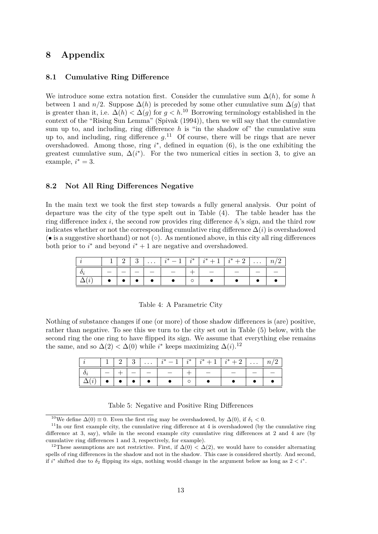### **8 Appendix**

#### **8.1 Cumulative Ring Difference**

We introduce some extra notation first. Consider the cumulative sum ∆(*h*), for some *h* between 1 and *n/*2. Suppose  $\Delta(h)$  is preceded by some other cumulative sum  $\Delta(g)$  that is greater than it, i.e.  $\Delta(h) < \Delta(g)$  for  $g < h$ .<sup>10</sup> Borrowing terminology established in the context of the "Rising Sun Lemma" (Spivak (1994)), then we will say that the cumulative sum up to, and including, ring difference  $h$  is "in the shadow of" the cumulative sum up to, and including, ring difference  $g$ <sup>11</sup> Of course, there will be rings that are never overshadowed. Among those, ring *i*<sup>\*</sup>, defined in equation (6), is the one exhibiting the greatest cumulative sum,  $\Delta(i^*)$ . For the two numerical cities in section 3, to give an example,  $i^* = 3$ .

#### **8.2 Not All Ring Differences Negative**

In the main text we took the first step towards a fully general analysis. Our point of departure was the city of the type spelt out in Table (4). The table header has the ring difference index  $i$ , the second row provides ring difference  $\delta_i$ 's sign, and the third row indicates whether or not the corresponding cumulative ring difference  $\Delta(i)$  is overshadowed  $\phi$  is a suggestive shorthand) or not  $\phi$ . As mentioned above, in this city all ring differences both prior to  $i^*$  and beyond  $i^* + 1$  are negative and overshadowed.

|    |  | $\cdots$ | $\cdot$ $\ast$ | $\cdot\ast$ | $\cdot$ | $\cdot$<br>∸ | $\cdots$ |  |
|----|--|----------|----------------|-------------|---------|--------------|----------|--|
| v. |  |          |                |             |         |              |          |  |
|    |  |          |                | U           |         |              |          |  |

|  |  |  | Table 4: A Parametric City |  |
|--|--|--|----------------------------|--|
|--|--|--|----------------------------|--|

Nothing of substance changes if one (or more) of those shadow differences is (are) positive, rather than negative. To see this we turn to the city set out in Table (5) below, with the second ring the one ring to have flipped its sign. We assume that everything else remains the same, and so  $\Delta(2) < \Delta(0)$  while *i*<sup>\*</sup> keeps maximizing  $\Delta(i)$ .<sup>12</sup>

|        | $1 \mid 2$ | 3 <sup>3</sup> | $\mathbf{1}$ | مانه ه | $-1$ | ച        | $\omega$ |
|--------|------------|----------------|--------------|--------|------|----------|----------|
| $\sim$ |            |                |              |        |      | $\equiv$ |          |
|        | $\bullet$  |                |              |        |      |          |          |

Table 5: Negative and Positive Ring Differences

<sup>&</sup>lt;sup>10</sup>We define  $\Delta(0) \equiv 0$ . Even the first ring may be overshadowed, by  $\Delta(0)$ , if  $\delta_1 < 0$ .

 $11$ In our first example city, the cumulative ring difference at 4 is overshadowed (by the cumulative ring difference at 3, say), while in the second example city cumulative ring differences at 2 and 4 are (by cumulative ring differences 1 and 3, respectively, for example).

<sup>&</sup>lt;sup>12</sup>These assumptions are not restrictive. First, if  $\Delta(0) < \Delta(2)$ , we would have to consider alternating spells of ring differences in the shadow and not in the shadow. This case is considered shortly. And second, if  $i^*$  shifted due to  $\delta_2$  flipping its sign, nothing would change in the argument below as long as  $2 < i^*$ .